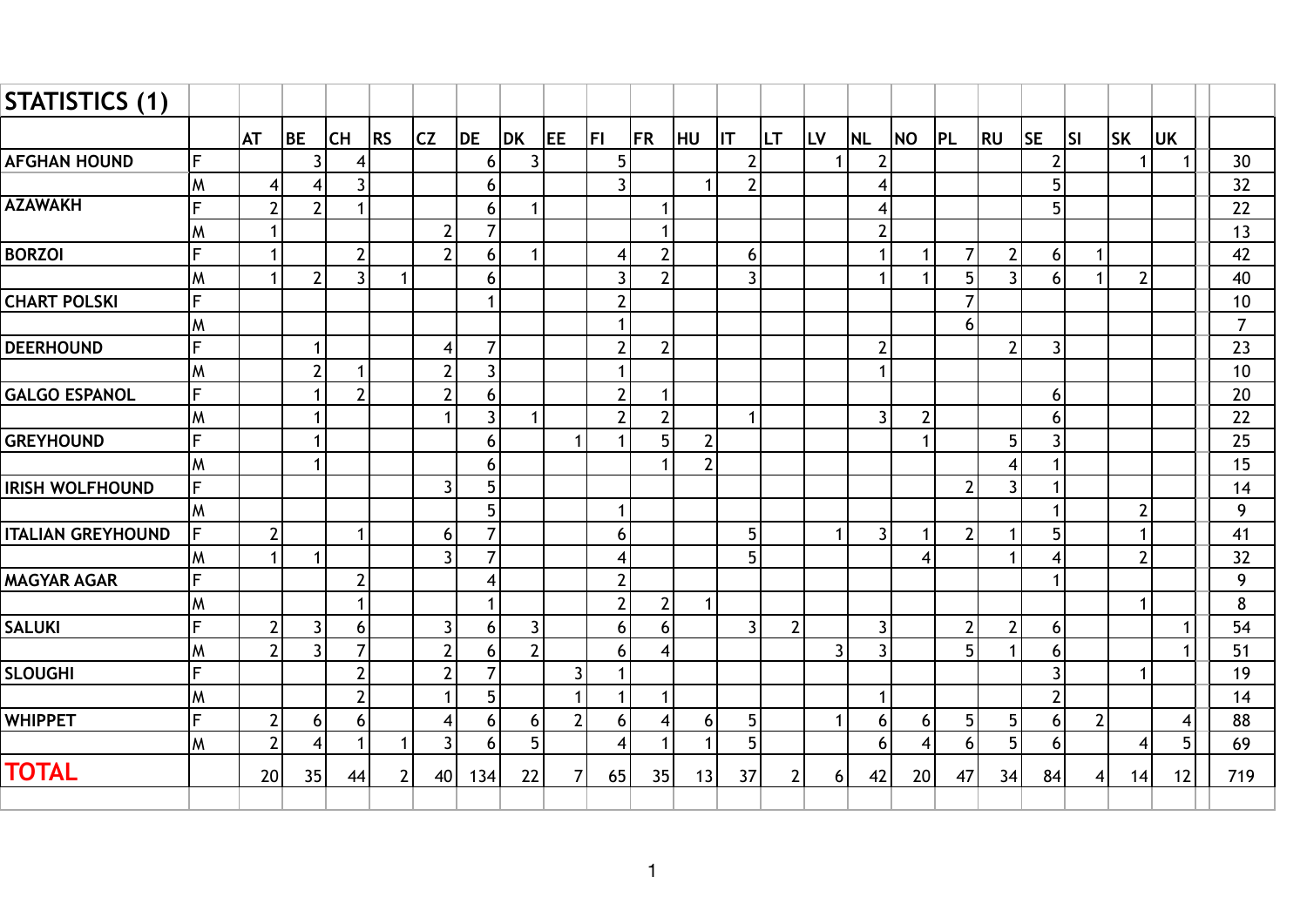| STATISTICS (1)           |    |                |                 |                |                |                 |                |                |                |                |                |                |                |                |                |                |                |                |                |                |              |           |             |                  |
|--------------------------|----|----------------|-----------------|----------------|----------------|-----------------|----------------|----------------|----------------|----------------|----------------|----------------|----------------|----------------|----------------|----------------|----------------|----------------|----------------|----------------|--------------|-----------|-------------|------------------|
|                          |    | <b>AT</b>      | <b>BE</b>       | CH             | RS             | <b>CZ</b>       | DE             | <b>DK</b>      | <b>JEE</b>     | <b>FI</b>      | <b>FR</b>      | HU             | <b>IIT</b>     | ILT.           | <b>LV</b>      | <b>NL</b>      | <b>NO</b>      | PL             | <b>RU</b>      | <b>SE</b>      | lsı          | <b>SK</b> | <b>UK</b>   |                  |
| <b>AFGHAN HOUND</b>      | F  |                | $\vert$         | 4              |                |                 | 6              | 3              |                | 5              |                |                | 2              |                |                | $\overline{2}$ |                |                |                | $\overline{2}$ |              |           | 1           | 30               |
|                          | lм | 4              | $\vert$         | 3 <sup>1</sup> |                |                 | 6              |                |                | $\overline{3}$ |                | $\mathbf{1}$   | $\overline{2}$ |                |                | $\overline{4}$ |                |                |                | 5              |              |           |             | 32               |
| <b>AZAWAKH</b>           | F  | $\overline{2}$ | $\overline{2}$  |                |                |                 | 6              | $\mathbf{1}$   |                |                |                |                |                |                |                | 4              |                |                |                | 5              |              |           |             | 22               |
|                          | W  | 1              |                 |                |                | $\overline{2}$  | $\overline{7}$ |                |                |                |                |                |                |                |                | $\overline{2}$ |                |                |                |                |              |           |             | 13               |
| <b>BORZOI</b>            | F  | $\mathbf 1$    |                 | $\overline{2}$ |                | $\overline{2}$  | 6              | $\mathbf{1}$   |                | 4              | $\overline{2}$ |                | 6              |                |                | $\mathbf{1}$   |                | $\overline{7}$ | $\overline{2}$ | 6              | $\mathbf{1}$ |           |             | 42               |
|                          | M  | 1              | 2 <sup>1</sup>  | $\overline{3}$ |                |                 | 6              |                |                | $\mathbf{3}$   | $\overline{2}$ |                | 3              |                |                |                |                | 5              | $\overline{3}$ | 6              |              | 2         |             | 40               |
| <b>CHART POLSKI</b>      | F. |                |                 |                |                |                 | $\mathbf{1}$   |                |                | $\overline{2}$ |                |                |                |                |                |                |                | $\overline{7}$ |                |                |              |           |             | 10               |
|                          | M  |                |                 |                |                |                 |                |                |                | $\mathbf 1$    |                |                |                |                |                |                |                | 6              |                |                |              |           |             | $\overline{7}$   |
| <b>DEERHOUND</b>         | F  |                | 1               |                |                | 4               | $\overline{7}$ |                |                | $\overline{2}$ | $\overline{2}$ |                |                |                |                | $\overline{2}$ |                |                | $\overline{2}$ | $\overline{3}$ |              |           |             | 23               |
|                          | lм |                | $2 \vert$       |                |                | $\overline{2}$  | $\mathbf{3}$   |                |                | $\mathbf{1}$   |                |                |                |                |                | $\mathbf{1}$   |                |                |                |                |              |           |             | 10               |
| <b>GALGO ESPANOL</b>     | F. |                | $\mathbf{1}$    | $\overline{2}$ |                | $\overline{2}$  | $6\,$          |                |                | $\overline{2}$ |                |                |                |                |                |                |                |                |                | 6              |              |           |             | 20               |
|                          | W  |                | $\mathbf 1$     |                |                | 1               | $\overline{3}$ | $\mathbf{1}$   |                | $\overline{2}$ | $\overline{2}$ |                | 1              |                |                | $\overline{3}$ | $\overline{2}$ |                |                | 6              |              |           |             | 22               |
| <b>GREYHOUND</b>         | F. |                | 1               |                |                |                 | 6              |                | 1              | $\mathbf{1}$   | 5              | $\overline{2}$ |                |                |                |                |                |                | 5              | 3              |              |           |             | 25               |
|                          | M  |                | $\mathbf 1$     |                |                |                 | 6              |                |                |                |                | $\overline{2}$ |                |                |                |                |                |                | 4              |                |              |           |             | 15               |
| <b>IRISH WOLFHOUND</b>   | F  |                |                 |                |                | $\overline{3}$  | 5              |                |                |                |                |                |                |                |                |                |                | $\overline{2}$ | $\overline{3}$ |                |              |           |             | 14               |
|                          | W  |                |                 |                |                |                 | 5              |                |                | $\mathbf{1}$   |                |                |                |                |                |                |                |                |                |                |              | -2        |             | $\boldsymbol{9}$ |
| <b>ITALIAN GREYHOUND</b> | F  | $\overline{2}$ |                 |                |                | 6               | $\overline{7}$ |                |                | $6\phantom{a}$ |                |                | 5              |                | 1              | $\overline{3}$ |                | $\overline{2}$ | $\mathbf{1}$   | 5              |              |           |             | 41               |
|                          | M  | $\mathbf 1$    | 1               |                |                | $\overline{3}$  | $\overline{7}$ |                |                | $\overline{4}$ |                |                | 5              |                |                |                | 4              |                | $\mathbf{1}$   | $\overline{4}$ |              | ി         |             | 32               |
| <b>MAGYAR AGAR</b>       | F  |                |                 |                |                |                 | $\overline{4}$ |                |                | $\mathbf{2}$   |                |                |                |                |                |                |                |                |                |                |              |           |             | 9                |
|                          | M  |                |                 |                |                |                 | $\mathbf{1}$   |                |                | $\overline{2}$ | $\overline{2}$ | $\mathbf{1}$   |                |                |                |                |                |                |                |                |              |           |             | 8                |
| <b>SALUKI</b>            | F  | $\overline{2}$ | $\overline{3}$  | 6              |                | 3               | 6              | $\overline{3}$ |                | 6              | 6              |                | 3              | $\overline{2}$ |                | 3 <sup>1</sup> |                | $\overline{2}$ | $\mathbf{2}$   | 6              |              |           |             | 54               |
|                          | M  | $\overline{2}$ | $\overline{3}$  | $\overline{7}$ |                | $\overline{2}$  | 6              | $\overline{2}$ |                | 6              | 4              |                |                |                | $\overline{3}$ | $\overline{3}$ |                | 5              | $\mathbf{1}$   | 6              |              |           | $\mathbf 1$ | 51               |
| <b>SLOUGHI</b>           | F  |                |                 | $\overline{2}$ |                | $\overline{2}$  | $\overline{7}$ |                | 3              | $\mathbf{1}$   |                |                |                |                |                |                |                |                |                | $\overline{3}$ |              | -1        |             | 19               |
|                          | M  |                |                 | $\overline{2}$ |                |                 | 5              |                |                | 1              |                |                |                |                |                | $\mathbf{1}$   |                |                |                | $\overline{2}$ |              |           |             | 14               |
| <b>WHIPPET</b>           | F  | $\overline{2}$ | 6 <sup>1</sup>  | 6 <sup>1</sup> |                | 4               | 6              | 6              | $\overline{2}$ | 6              | $\overline{4}$ | 6              | 5              |                | 1              | 6              | 6              | 5              | 5              | 6              | $\mathbf{2}$ |           | 4           | 88               |
|                          | lм | $\overline{2}$ | $\vert 4 \vert$ |                | $\mathbf 1$    | $\mathbf{3}$    | 6              | 5              |                | $\overline{4}$ | -1             | $\mathbf{1}$   | 5              |                |                | 6              | 4              | 6              | 5              | 6              |              | 4         | 5           | 69               |
| <b>TOTAL</b>             |    | 20             | 35              | 44             | $\overline{2}$ | 40 <sup>1</sup> | 134            | 22             | 7              | 65             | 35             | 13             | 37             | $\mathbf{2}$   | 6 <sup>1</sup> | 42             | 20             | 47             | 34             | 84             | $\vert$      | 14        | 12          | 719              |
|                          |    |                |                 |                |                |                 |                |                |                |                |                |                |                |                |                |                |                |                |                |                |              |           |             |                  |